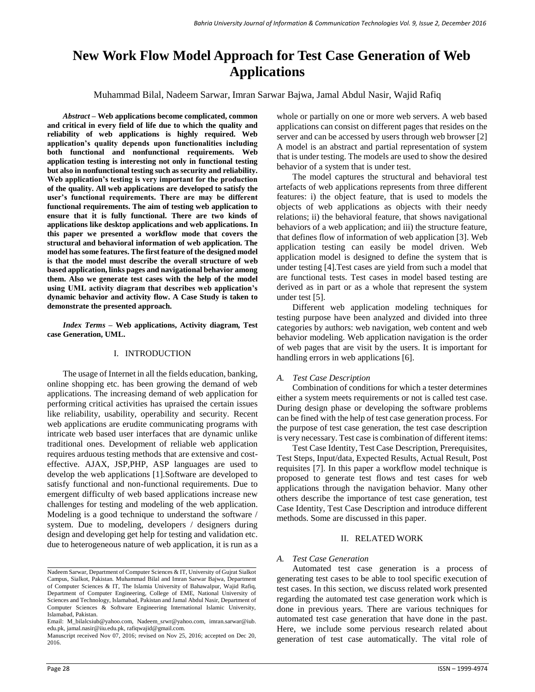# **New Work Flow Model Approach for Test Case Generation of Web Applications**

Muhammad Bilal, Nadeem Sarwar, Imran Sarwar Bajwa, Jamal Abdul Nasir, Wajid Rafiq

*Abstract –* **Web applications become complicated, common and critical in every field of life due to which the quality and reliability of web applications is highly required. Web application's quality depends upon functionalities including both functional and nonfunctional requirements. Web application testing is interesting not only in functional testing but also in nonfunctional testing such as security and reliability. Web application's testing is very important for the production of the quality. All web applications are developed to satisfy the user's functional requirements. There are may be different functional requirements. The aim of testing web application to ensure that it is fully functional. There are two kinds of applications like desktop applications and web applications. In this paper we presented a workflow mode that covers the structural and behavioral information of web application. The model has some features. The first feature of the designed model is that the model must describe the overall structure of web based application, links pages and navigational behavior among them. Also we generate test cases with the help of the model using UML activity diagram that describes web application's dynamic behavior and activity flow. A Case Study is taken to demonstrate the presented approach.**

*Index Terms –* **Web applications, Activity diagram, Test case Generation, UML.**

### I. INTRODUCTION

The usage of Internet in all the fields education, banking, online shopping etc. has been growing the demand of web applications. The increasing demand of web application for performing critical activities has upraised the certain issues like reliability, usability, operability and security. Recent web applications are erudite communicating programs with intricate web based user interfaces that are dynamic unlike traditional ones. Development of reliable web application requires arduous testing methods that are extensive and costeffective. AJAX, JSP,PHP, ASP languages are used to develop the web applications [1].Software are developed to satisfy functional and non-functional requirements. Due to emergent difficulty of web based applications increase new challenges for testing and modeling of the web application. Modeling is a good technique to understand the software / system. Due to modeling, developers / designers during design and developing get help for testing and validation etc. due to heterogeneous nature of web application, it is run as a whole or partially on one or more web servers. A web based applications can consist on different pages that resides on the server and can be accessed by users through web browser [2] A model is an abstract and partial representation of system that is under testing. The models are used to show the desired behavior of a system that is under test.

The model captures the structural and behavioral test artefacts of web applications represents from three different features: i) the object feature, that is used to models the objects of web applications as objects with their needy relations; ii) the behavioral feature, that shows navigational behaviors of a web application; and iii) the structure feature, that defines flow of information of web application [3]. Web application testing can easily be model driven. Web application model is designed to define the system that is under testing [4].Test cases are yield from such a model that are functional tests. Test cases in model based testing are derived as in part or as a whole that represent the system under test [5].

Different web application modeling techniques for testing purpose have been analyzed and divided into three categories by authors: web navigation, web content and web behavior modeling. Web application navigation is the order of web pages that are visit by the users. It is important for handling errors in web applications [6].

### *A. Test Case Description*

Combination of conditions for which a tester determines either a system meets requirements or not is called test case. During design phase or developing the software problems can be fined with the help of test case generation process. For the purpose of test case generation, the test case description is very necessary. Test case is combination of different items:

Test Case Identity, Test Case Description, Prerequisites, Test Steps, Input/data, Expected Results, Actual Result, Post requisites [7]. In this paper a workflow model technique is proposed to generate test flows and test cases for web applications through the navigation behavior. Many other others describe the importance of test case generation, test Case Identity, Test Case Description and introduce different methods. Some are discussed in this paper.

### II. RELATED WORK

### *A. Test Case Generation*

Automated test case generation is a process of generating test cases to be able to tool specific execution of test cases. In this section, we discuss related work presented regarding the automated test case generation work which is done in previous years. There are various techniques for automated test case generation that have done in the past. Here, we include some pervious research related about generation of test case automatically. The vital role of

Nadeem Sarwar, Department of Computer Sciences & IT, University of Gujrat Sialkot Campus, Sialkot, Pakistan. Muhammad Bilal and Imran Sarwar Bajwa, Department of Computer Sciences & IT, The Islamia University of Bahawalpur, Wajid Rafiq, Department of Computer Engineering, College of EME, National University of Sciences and Technology, Islamabad, Pakistan and Jamal Abdul Nasir, Department of Computer Sciences & Software Engineering International Islamic University, Islamabad, Pakistan.

Email: [M\\_bilalcsiub@yahoo.com,](mailto:M_bilalcsiub@yahoo.com) [Nadeem\\_srwr@yahoo.com,](mailto:Nadeem_srwr@yahoo.com) imran.sarwar@iub. edu.pk[, jamal.nasir@iiu.edu.pk,](mailto:jamal.nasir@iiu.edu.pk) rafiqwajid@gmail.com.

Manuscript received Nov 07, 2016; revised on Nov 25, 2016; accepted on Dec 20, 2016.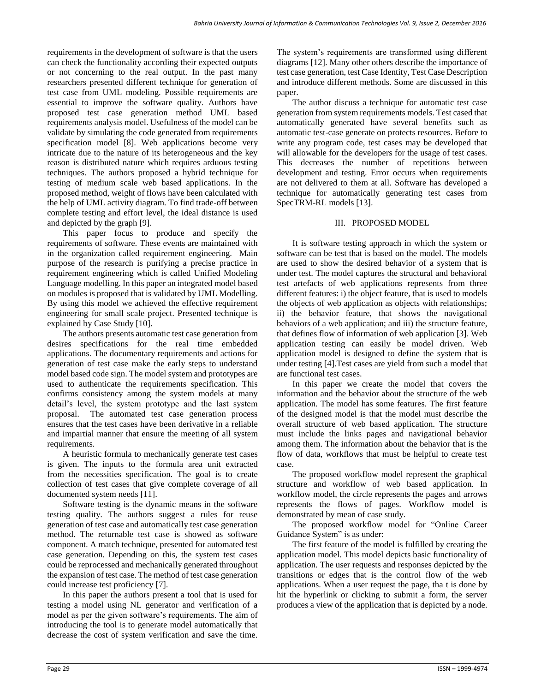requirements in the development of software is that the users can check the functionality according their expected outputs or not concerning to the real output. In the past many researchers presented different technique for generation of test case from UML modeling. Possible requirements are essential to improve the software quality. Authors have proposed test case generation method UML based requirements analysis model. Usefulness of the model can be validate by simulating the code generated from requirements specification model [8]. Web applications become very intricate due to the nature of its heterogeneous and the key reason is distributed nature which requires arduous testing techniques. The authors proposed a hybrid technique for testing of medium scale web based applications. In the proposed method, weight of flows have been calculated with the help of UML activity diagram. To find trade-off between complete testing and effort level, the ideal distance is used and depicted by the graph [9].

This paper focus to produce and specify the requirements of software. These events are maintained with in the organization called requirement engineering. Main purpose of the research is purifying a precise practice in requirement engineering which is called Unified Modeling Language modelling. In this paper an integrated model based on modules is proposed that is validated by UML Modelling. By using this model we achieved the effective requirement engineering for small scale project. Presented technique is explained by Case Study [10].

The authors presents automatic test case generation from desires specifications for the real time embedded applications. The documentary requirements and actions for generation of test case make the early steps to understand model based code sign. The model system and prototypes are used to authenticate the requirements specification. This confirms consistency among the system models at many detail's level, the system prototype and the last system proposal. The automated test case generation process ensures that the test cases have been derivative in a reliable and impartial manner that ensure the meeting of all system requirements.

A heuristic formula to mechanically generate test cases is given. The inputs to the formula area unit extracted from the necessities specification. The goal is to create collection of test cases that give complete coverage of all documented system needs [11].

Software testing is the dynamic means in the software testing quality. The authors suggest a rules for reuse generation of test case and automatically test case generation method. The returnable test case is showed as software component. A match technique, presented for automated test case generation. Depending on this, the system test cases could be reprocessed and mechanically generated throughout the expansion of test case. The method of test case generation could increase test proficiency [7].

In this paper the authors present a tool that is used for testing a model using NL generator and verification of a model as per the given software's requirements. The aim of introducing the tool is to generate model automatically that decrease the cost of system verification and save the time. The system's requirements are transformed using different diagrams [12]. Many other others describe the importance of test case generation, test Case Identity, Test Case Description and introduce different methods. Some are discussed in this paper.

The author discuss a technique for automatic test case generation from system requirements models. Test cased that automatically generated have several benefits such as automatic test-case generate on protects resources. Before to write any program code, test cases may be developed that will allowable for the developers for the usage of test cases. This decreases the number of repetitions between development and testing. Error occurs when requirements are not delivered to them at all. Software has developed a technique for automatically generating test cases from SpecTRM-RL models [13].

# III. PROPOSED MODEL

It is software testing approach in which the system or software can be test that is based on the model. The models are used to show the desired behavior of a system that is under test. The model captures the structural and behavioral test artefacts of web applications represents from three different features: i) the object feature, that is used to models the objects of web application as objects with relationships; ii) the behavior feature, that shows the navigational behaviors of a web application; and iii) the structure feature, that defines flow of information of web application [3]. Web application testing can easily be model driven. Web application model is designed to define the system that is under testing [4].Test cases are yield from such a model that are functional test cases.

In this paper we create the model that covers the information and the behavior about the structure of the web application. The model has some features. The first feature of the designed model is that the model must describe the overall structure of web based application. The structure must include the links pages and navigational behavior among them. The information about the behavior that is the flow of data, workflows that must be helpful to create test case.

The proposed workflow model represent the graphical structure and workflow of web based application. In workflow model, the circle represents the pages and arrows represents the flows of pages. Workflow model is demonstrated by mean of case study.

The proposed workflow model for "Online Career Guidance System" is as under:

The first feature of the model is fulfilled by creating the application model. This model depicts basic functionality of application. The user requests and responses depicted by the transitions or edges that is the control flow of the web applications. When a user request the page, tha t is done by hit the hyperlink or clicking to submit a form, the server produces a view of the application that is depicted by a node.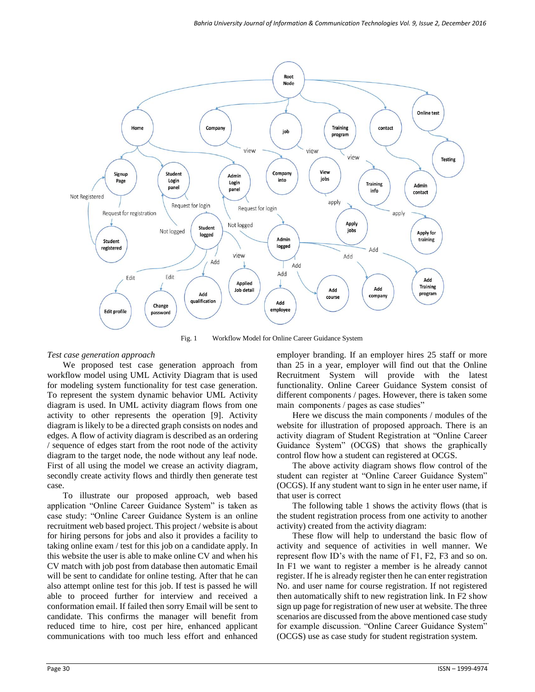

Fig. 1 Workflow Model for Online Career Guidance System

# *Test case generation approach*

We proposed test case generation approach from workflow model using UML Activity Diagram that is used for modeling system functionality for test case generation. To represent the system dynamic behavior UML Activity diagram is used. In UML activity diagram flows from one activity to other represents the operation [9]. Activity diagram is likely to be a directed graph consists on nodes and edges. A flow of activity diagram is described as an ordering / sequence of edges start from the root node of the activity diagram to the target node, the node without any leaf node. First of all using the model we crease an activity diagram, secondly create activity flows and thirdly then generate test case.

To illustrate our proposed approach, web based application "Online Career Guidance System" is taken as case study: "Online Career Guidance System is an online recruitment web based project. This project / website is about for hiring persons for jobs and also it provides a facility to taking online exam / test for this job on a candidate apply. In this website the user is able to make online CV and when his CV match with job post from database then automatic Email will be sent to candidate for online testing. After that he can also attempt online test for this job. If test is passed he will able to proceed further for interview and received a conformation email. If failed then sorry Email will be sent to candidate. This confirms the manager will benefit from reduced time to hire, cost per hire, enhanced applicant communications with too much less effort and enhanced employer branding. If an employer hires 25 staff or more than 25 in a year, employer will find out that the Online Recruitment System will provide with the latest functionality. Online Career Guidance System consist of different components / pages. However, there is taken some main components / pages as case studies"

Here we discuss the main components / modules of the website for illustration of proposed approach. There is an activity diagram of Student Registration at "Online Career Guidance System" (OCGS) that shows the graphically control flow how a student can registered at OCGS.

The above activity diagram shows flow control of the student can register at "Online Career Guidance System" (OCGS). If any student want to sign in he enter user name, if that user is correct

The following table 1 shows the activity flows (that is the student registration process from one activity to another activity) created from the activity diagram:

These flow will help to understand the basic flow of activity and sequence of activities in well manner. We represent flow ID's with the name of F1, F2, F3 and so on. In F1 we want to register a member is he already cannot register. If he is already register then he can enter registration No. and user name for course registration. If not registered then automatically shift to new registration link. In F2 show sign up page for registration of new user at website. The three scenarios are discussed from the above mentioned case study for example discussion. "Online Career Guidance System" (OCGS) use as case study for student registration system.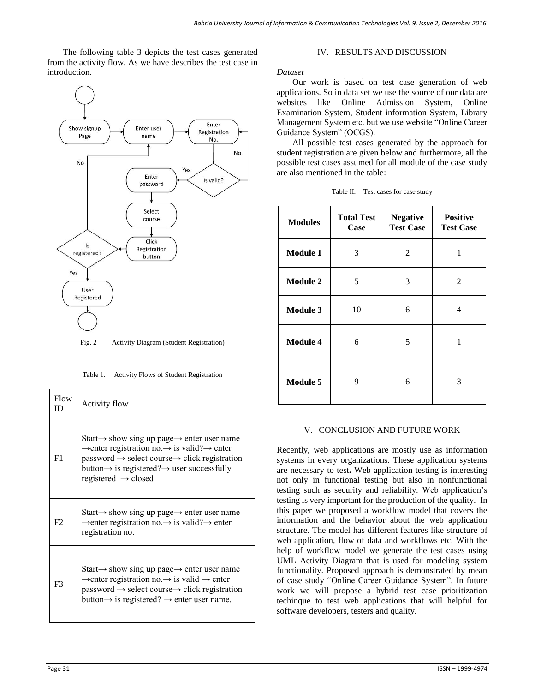The following table 3 depicts the test cases generated from the activity flow. As we have describes the test case in introduction.



Table 1. Activity Flows of Student Registration

| Flow<br>ID     | Activity flow                                                                                                                                                                                                                                                                                                                               |
|----------------|---------------------------------------------------------------------------------------------------------------------------------------------------------------------------------------------------------------------------------------------------------------------------------------------------------------------------------------------|
| F1             | Start $\rightarrow$ show sing up page $\rightarrow$ enter user name<br>$\rightarrow$ enter registration no. $\rightarrow$ is valid? $\rightarrow$ enter<br>$password \rightarrow select course \rightarrow click \; registration$<br>button $\rightarrow$ is registered? $\rightarrow$ user successfully<br>registered $\rightarrow$ closed |
| F2             | Start $\rightarrow$ show sing up page $\rightarrow$ enter user name<br>$\rightarrow$ enter registration no. $\rightarrow$ is valid? $\rightarrow$ enter<br>registration no.                                                                                                                                                                 |
| F <sub>3</sub> | Start $\rightarrow$ show sing up page $\rightarrow$ enter user name<br>$\rightarrow$ enter registration no. $\rightarrow$ is valid $\rightarrow$ enter<br>$password \rightarrow select course \rightarrow click \; registration$<br>button $\rightarrow$ is registered? $\rightarrow$ enter user name.                                      |

## IV. RESULTS AND DISCUSSION

*Dataset*

Our work is based on test case generation of web applications. So in data set we use the source of our data are websites like Online Admission System, Online Examination System, Student information System, Library Management System etc. but we use website "Online Career Guidance System" (OCGS).

All possible test cases generated by the approach for student registration are given below and furthermore, all the possible test cases assumed for all module of the case study are also mentioned in the table:

| Table II. Test cases for case study |  |  |
|-------------------------------------|--|--|
|                                     |  |  |

| <b>Modules</b>  | <b>Total Test</b><br>Case | <b>Negative</b><br><b>Test Case</b> | <b>Positive</b><br><b>Test Case</b> |
|-----------------|---------------------------|-------------------------------------|-------------------------------------|
| <b>Module 1</b> | 3                         | 2                                   | 1                                   |
| <b>Module 2</b> | 5                         | 3                                   | 2                                   |
| <b>Module 3</b> | 10                        | 6                                   | 4                                   |
| <b>Module 4</b> | 6                         | 5                                   | 1                                   |
| <b>Module 5</b> | 9                         | 6                                   | 3                                   |

### V. CONCLUSION AND FUTURE WORK

Recently, web applications are mostly use as information systems in every organizations. These application systems are necessary to test**.** Web application testing is interesting not only in functional testing but also in nonfunctional testing such as security and reliability. Web application's testing is very important for the production of the quality. In this paper we proposed a workflow model that covers the information and the behavior about the web application structure. The model has different features like structure of web application, flow of data and workflows etc. With the help of workflow model we generate the test cases using UML Activity Diagram that is used for modeling system functionality. Proposed approach is demonstrated by mean of case study "Online Career Guidance System". In future work we will propose a hybrid test case prioritization techinque to test web applications that will helpful for software developers, testers and quality.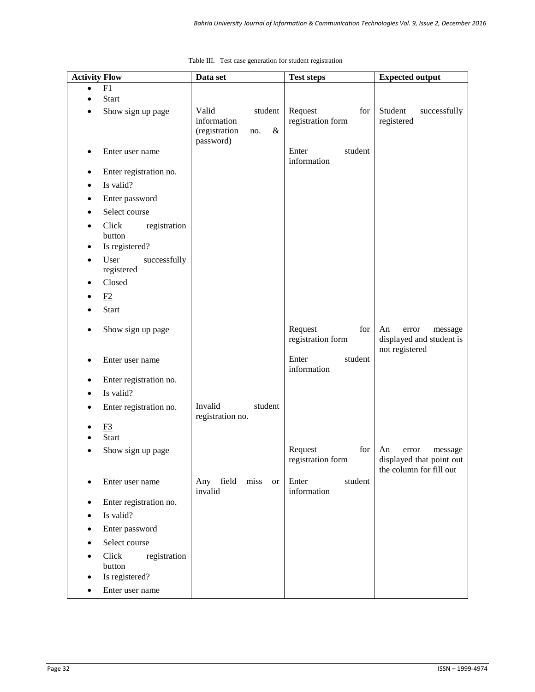| <b>Activity Flow</b> |                                                   | Data set                                                        | <b>Test steps</b>                   | <b>Expected output</b>                                                        |
|----------------------|---------------------------------------------------|-----------------------------------------------------------------|-------------------------------------|-------------------------------------------------------------------------------|
| $\bullet$            | F1                                                |                                                                 |                                     |                                                                               |
|                      | <b>Start</b><br>Show sign up page                 | Valid<br>student<br>information<br>(registration<br>$\&$<br>no. | Request<br>for<br>registration form | Student<br>successfully<br>registered                                         |
| ٠                    | Enter user name                                   | password)                                                       | Enter<br>student<br>information     |                                                                               |
| ٠                    | Enter registration no.                            |                                                                 |                                     |                                                                               |
| $\bullet$            | Is valid?                                         |                                                                 |                                     |                                                                               |
| ٠                    | Enter password                                    |                                                                 |                                     |                                                                               |
|                      | Select course                                     |                                                                 |                                     |                                                                               |
| $\bullet$<br>٠       | Click<br>registration<br>button<br>Is registered? |                                                                 |                                     |                                                                               |
| ٠                    | User<br>successfully<br>registered                |                                                                 |                                     |                                                                               |
| ٠                    | Closed                                            |                                                                 |                                     |                                                                               |
|                      | E2                                                |                                                                 |                                     |                                                                               |
|                      | <b>Start</b>                                      |                                                                 |                                     |                                                                               |
|                      | Show sign up page                                 |                                                                 | Request<br>for<br>registration form | An<br>error<br>message<br>displayed and student is<br>not registered          |
|                      | Enter user name                                   |                                                                 | Enter<br>student<br>information     |                                                                               |
| ٠                    | Enter registration no.                            |                                                                 |                                     |                                                                               |
| $\bullet$            | Is valid?                                         |                                                                 |                                     |                                                                               |
| ٠                    | Enter registration no.                            | Invalid<br>student<br>registration no.                          |                                     |                                                                               |
|                      | F <sub>3</sub>                                    |                                                                 |                                     |                                                                               |
|                      | <b>Start</b>                                      |                                                                 |                                     |                                                                               |
|                      | Show sign up page                                 |                                                                 | for<br>Request<br>registration form | An<br>error<br>message<br>displayed that point out<br>the column for fill out |
|                      | Enter user name                                   | Any field<br>miss<br><b>or</b><br>invalid                       | Enter<br>student<br>information     |                                                                               |
| $\bullet$            | Enter registration no.                            |                                                                 |                                     |                                                                               |
| ٠                    | Is valid?                                         |                                                                 |                                     |                                                                               |
| ٠                    | Enter password                                    |                                                                 |                                     |                                                                               |
| $\bullet$            | Select course                                     |                                                                 |                                     |                                                                               |
| $\bullet$            | Click<br>registration<br>button<br>Is registered? |                                                                 |                                     |                                                                               |
| ٠                    | Enter user name                                   |                                                                 |                                     |                                                                               |

|  |  | Table III. Test case generation for student registration |
|--|--|----------------------------------------------------------|
|  |  |                                                          |